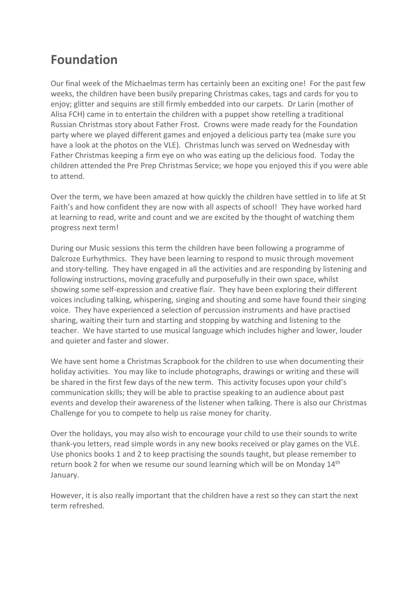## **Foundation**

Our final week of the Michaelmas term has certainly been an exciting one! For the past few weeks, the children have been busily preparing Christmas cakes, tags and cards for you to enjoy; glitter and sequins are still firmly embedded into our carpets. Dr Larin (mother of Alisa FCH) came in to entertain the children with a puppet show retelling a traditional Russian Christmas story about Father Frost. Crowns were made ready for the Foundation party where we played different games and enjoyed a delicious party tea (make sure you have a look at the photos on the VLE). Christmas lunch was served on Wednesday with Father Christmas keeping a firm eye on who was eating up the delicious food. Today the children attended the Pre Prep Christmas Service; we hope you enjoyed this if you were able to attend.

Over the term, we have been amazed at how quickly the children have settled in to life at St Faith's and how confident they are now with all aspects of school! They have worked hard at learning to read, write and count and we are excited by the thought of watching them progress next term!

During our Music sessions this term the children have been following a programme of Dalcroze Eurhythmics. They have been learning to respond to music through movement and story-telling. They have engaged in all the activities and are responding by listening and following instructions, moving gracefully and purposefully in their own space, whilst showing some self-expression and creative flair. They have been exploring their different voices including talking, whispering, singing and shouting and some have found their singing voice. They have experienced a selection of percussion instruments and have practised sharing, waiting their turn and starting and stopping by watching and listening to the teacher. We have started to use musical language which includes higher and lower, louder and quieter and faster and slower.

We have sent home a Christmas Scrapbook for the children to use when documenting their holiday activities. You may like to include photographs, drawings or writing and these will be shared in the first few days of the new term. This activity focuses upon your child's communication skills; they will be able to practise speaking to an audience about past events and develop their awareness of the listener when talking. There is also our Christmas Challenge for you to compete to help us raise money for charity.

Over the holidays, you may also wish to encourage your child to use their sounds to write thank-you letters, read simple words in any new books received or play games on the VLE. Use phonics books 1 and 2 to keep practising the sounds taught, but please remember to return book 2 for when we resume our sound learning which will be on Monday 14<sup>th</sup> January.

However, it is also really important that the children have a rest so they can start the next term refreshed.